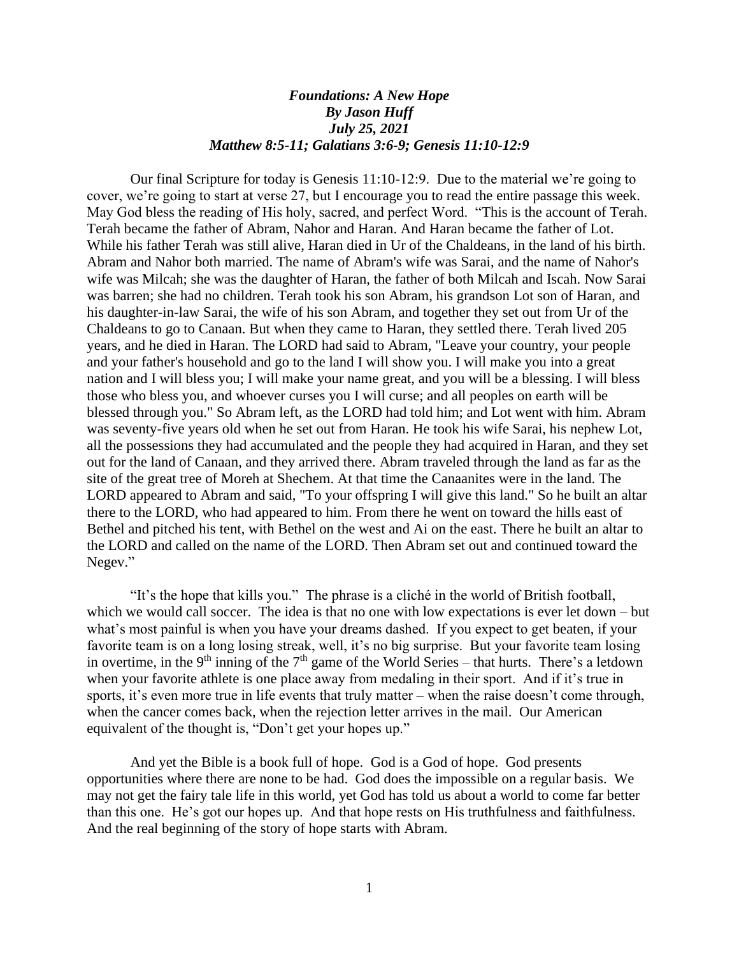## *Foundations: A New Hope By Jason Huff July 25, 2021 Matthew 8:5-11; Galatians 3:6-9; Genesis 11:10-12:9*

Our final Scripture for today is Genesis 11:10-12:9. Due to the material we're going to cover, we're going to start at verse 27, but I encourage you to read the entire passage this week. May God bless the reading of His holy, sacred, and perfect Word. "This is the account of Terah. Terah became the father of Abram, Nahor and Haran. And Haran became the father of Lot. While his father Terah was still alive, Haran died in Ur of the Chaldeans, in the land of his birth. Abram and Nahor both married. The name of Abram's wife was Sarai, and the name of Nahor's wife was Milcah; she was the daughter of Haran, the father of both Milcah and Iscah. Now Sarai was barren; she had no children. Terah took his son Abram, his grandson Lot son of Haran, and his daughter-in-law Sarai, the wife of his son Abram, and together they set out from Ur of the Chaldeans to go to Canaan. But when they came to Haran, they settled there. Terah lived 205 years, and he died in Haran. The LORD had said to Abram, "Leave your country, your people and your father's household and go to the land I will show you. I will make you into a great nation and I will bless you; I will make your name great, and you will be a blessing. I will bless those who bless you, and whoever curses you I will curse; and all peoples on earth will be blessed through you." So Abram left, as the LORD had told him; and Lot went with him. Abram was seventy-five years old when he set out from Haran. He took his wife Sarai, his nephew Lot, all the possessions they had accumulated and the people they had acquired in Haran, and they set out for the land of Canaan, and they arrived there. Abram traveled through the land as far as the site of the great tree of Moreh at Shechem. At that time the Canaanites were in the land. The LORD appeared to Abram and said, "To your offspring I will give this land." So he built an altar there to the LORD, who had appeared to him. From there he went on toward the hills east of Bethel and pitched his tent, with Bethel on the west and Ai on the east. There he built an altar to the LORD and called on the name of the LORD. Then Abram set out and continued toward the Negev."

"It's the hope that kills you." The phrase is a cliché in the world of British football, which we would call soccer. The idea is that no one with low expectations is ever let down – but what's most painful is when you have your dreams dashed. If you expect to get beaten, if your favorite team is on a long losing streak, well, it's no big surprise. But your favorite team losing in overtime, in the 9<sup>th</sup> inning of the 7<sup>th</sup> game of the World Series – that hurts. There's a letdown when your favorite athlete is one place away from medaling in their sport. And if it's true in sports, it's even more true in life events that truly matter – when the raise doesn't come through, when the cancer comes back, when the rejection letter arrives in the mail. Our American equivalent of the thought is, "Don't get your hopes up."

And yet the Bible is a book full of hope. God is a God of hope. God presents opportunities where there are none to be had. God does the impossible on a regular basis. We may not get the fairy tale life in this world, yet God has told us about a world to come far better than this one. He's got our hopes up. And that hope rests on His truthfulness and faithfulness. And the real beginning of the story of hope starts with Abram.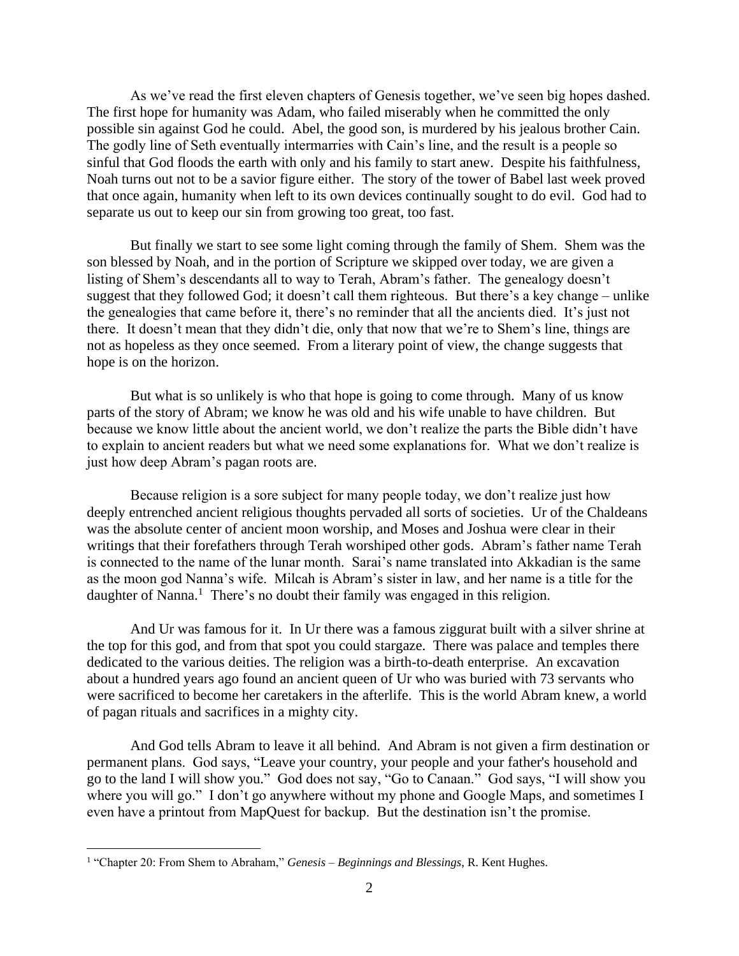As we've read the first eleven chapters of Genesis together, we've seen big hopes dashed. The first hope for humanity was Adam, who failed miserably when he committed the only possible sin against God he could. Abel, the good son, is murdered by his jealous brother Cain. The godly line of Seth eventually intermarries with Cain's line, and the result is a people so sinful that God floods the earth with only and his family to start anew. Despite his faithfulness, Noah turns out not to be a savior figure either. The story of the tower of Babel last week proved that once again, humanity when left to its own devices continually sought to do evil. God had to separate us out to keep our sin from growing too great, too fast.

But finally we start to see some light coming through the family of Shem. Shem was the son blessed by Noah, and in the portion of Scripture we skipped over today, we are given a listing of Shem's descendants all to way to Terah, Abram's father. The genealogy doesn't suggest that they followed God; it doesn't call them righteous. But there's a key change – unlike the genealogies that came before it, there's no reminder that all the ancients died. It's just not there. It doesn't mean that they didn't die, only that now that we're to Shem's line, things are not as hopeless as they once seemed. From a literary point of view, the change suggests that hope is on the horizon.

But what is so unlikely is who that hope is going to come through. Many of us know parts of the story of Abram; we know he was old and his wife unable to have children. But because we know little about the ancient world, we don't realize the parts the Bible didn't have to explain to ancient readers but what we need some explanations for. What we don't realize is just how deep Abram's pagan roots are.

Because religion is a sore subject for many people today, we don't realize just how deeply entrenched ancient religious thoughts pervaded all sorts of societies. Ur of the Chaldeans was the absolute center of ancient moon worship, and Moses and Joshua were clear in their writings that their forefathers through Terah worshiped other gods. Abram's father name Terah is connected to the name of the lunar month. Sarai's name translated into Akkadian is the same as the moon god Nanna's wife. Milcah is Abram's sister in law, and her name is a title for the daughter of Nanna.<sup>1</sup> There's no doubt their family was engaged in this religion.

And Ur was famous for it. In Ur there was a famous ziggurat built with a silver shrine at the top for this god, and from that spot you could stargaze. There was palace and temples there dedicated to the various deities. The religion was a birth-to-death enterprise. An excavation about a hundred years ago found an ancient queen of Ur who was buried with 73 servants who were sacrificed to become her caretakers in the afterlife. This is the world Abram knew, a world of pagan rituals and sacrifices in a mighty city.

And God tells Abram to leave it all behind. And Abram is not given a firm destination or permanent plans. God says, "Leave your country, your people and your father's household and go to the land I will show you." God does not say, "Go to Canaan." God says, "I will show you where you will go." I don't go anywhere without my phone and Google Maps, and sometimes I even have a printout from MapQuest for backup. But the destination isn't the promise.

<sup>1</sup> "Chapter 20: From Shem to Abraham," *Genesis – Beginnings and Blessings*, R. Kent Hughes.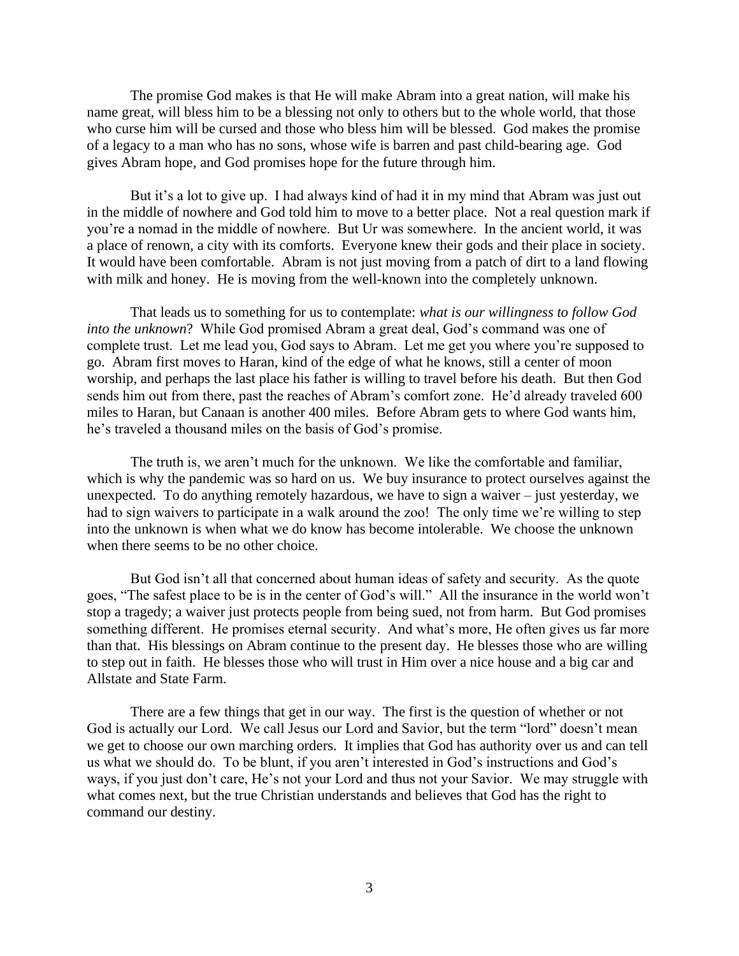The promise God makes is that He will make Abram into a great nation, will make his name great, will bless him to be a blessing not only to others but to the whole world, that those who curse him will be cursed and those who bless him will be blessed. God makes the promise of a legacy to a man who has no sons, whose wife is barren and past child-bearing age. God gives Abram hope, and God promises hope for the future through him.

But it's a lot to give up. I had always kind of had it in my mind that Abram was just out in the middle of nowhere and God told him to move to a better place. Not a real question mark if you're a nomad in the middle of nowhere. But Ur was somewhere. In the ancient world, it was a place of renown, a city with its comforts. Everyone knew their gods and their place in society. It would have been comfortable. Abram is not just moving from a patch of dirt to a land flowing with milk and honey. He is moving from the well-known into the completely unknown.

That leads us to something for us to contemplate: *what is our willingness to follow God into the unknown*? While God promised Abram a great deal, God's command was one of complete trust. Let me lead you, God says to Abram. Let me get you where you're supposed to go. Abram first moves to Haran, kind of the edge of what he knows, still a center of moon worship, and perhaps the last place his father is willing to travel before his death. But then God sends him out from there, past the reaches of Abram's comfort zone. He'd already traveled 600 miles to Haran, but Canaan is another 400 miles. Before Abram gets to where God wants him, he's traveled a thousand miles on the basis of God's promise.

The truth is, we aren't much for the unknown. We like the comfortable and familiar, which is why the pandemic was so hard on us. We buy insurance to protect ourselves against the unexpected. To do anything remotely hazardous, we have to sign a waiver – just yesterday, we had to sign waivers to participate in a walk around the zoo! The only time we're willing to step into the unknown is when what we do know has become intolerable. We choose the unknown when there seems to be no other choice.

But God isn't all that concerned about human ideas of safety and security. As the quote goes, "The safest place to be is in the center of God's will." All the insurance in the world won't stop a tragedy; a waiver just protects people from being sued, not from harm. But God promises something different. He promises eternal security. And what's more, He often gives us far more than that. His blessings on Abram continue to the present day. He blesses those who are willing to step out in faith. He blesses those who will trust in Him over a nice house and a big car and Allstate and State Farm.

There are a few things that get in our way. The first is the question of whether or not God is actually our Lord. We call Jesus our Lord and Savior, but the term "lord" doesn't mean we get to choose our own marching orders. It implies that God has authority over us and can tell us what we should do. To be blunt, if you aren't interested in God's instructions and God's ways, if you just don't care, He's not your Lord and thus not your Savior. We may struggle with what comes next, but the true Christian understands and believes that God has the right to command our destiny.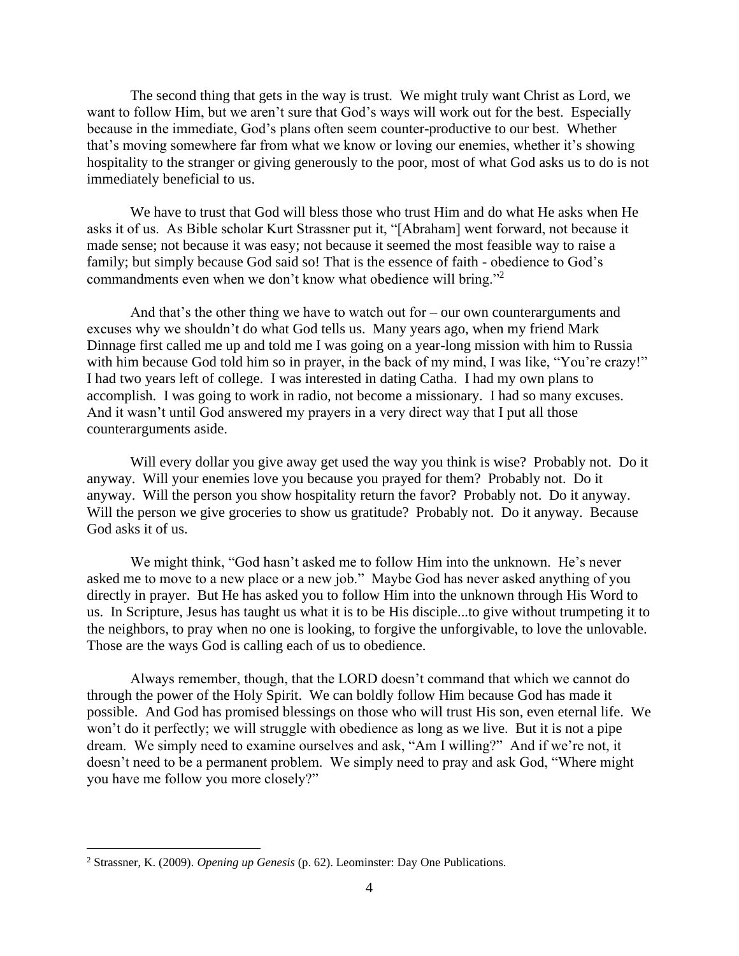The second thing that gets in the way is trust. We might truly want Christ as Lord, we want to follow Him, but we aren't sure that God's ways will work out for the best. Especially because in the immediate, God's plans often seem counter-productive to our best. Whether that's moving somewhere far from what we know or loving our enemies, whether it's showing hospitality to the stranger or giving generously to the poor, most of what God asks us to do is not immediately beneficial to us.

We have to trust that God will bless those who trust Him and do what He asks when He asks it of us. As Bible scholar Kurt Strassner put it, "[Abraham] went forward, not because it made sense; not because it was easy; not because it seemed the most feasible way to raise a family; but simply because God said so! That is the essence of faith - obedience to God's commandments even when we don't know what obedience will bring."<sup>2</sup>

And that's the other thing we have to watch out for – our own counterarguments and excuses why we shouldn't do what God tells us. Many years ago, when my friend Mark Dinnage first called me up and told me I was going on a year-long mission with him to Russia with him because God told him so in prayer, in the back of my mind, I was like, "You're crazy!" I had two years left of college. I was interested in dating Catha. I had my own plans to accomplish. I was going to work in radio, not become a missionary. I had so many excuses. And it wasn't until God answered my prayers in a very direct way that I put all those counterarguments aside.

Will every dollar you give away get used the way you think is wise? Probably not. Do it anyway. Will your enemies love you because you prayed for them? Probably not. Do it anyway. Will the person you show hospitality return the favor? Probably not. Do it anyway. Will the person we give groceries to show us gratitude? Probably not. Do it anyway. Because God asks it of us.

We might think, "God hasn't asked me to follow Him into the unknown. He's never asked me to move to a new place or a new job." Maybe God has never asked anything of you directly in prayer. But He has asked you to follow Him into the unknown through His Word to us. In Scripture, Jesus has taught us what it is to be His disciple...to give without trumpeting it to the neighbors, to pray when no one is looking, to forgive the unforgivable, to love the unlovable. Those are the ways God is calling each of us to obedience.

Always remember, though, that the LORD doesn't command that which we cannot do through the power of the Holy Spirit. We can boldly follow Him because God has made it possible. And God has promised blessings on those who will trust His son, even eternal life. We won't do it perfectly; we will struggle with obedience as long as we live. But it is not a pipe dream. We simply need to examine ourselves and ask, "Am I willing?" And if we're not, it doesn't need to be a permanent problem. We simply need to pray and ask God, "Where might you have me follow you more closely?"

<sup>2</sup> Strassner, K. (2009). *Opening up Genesis* (p. 62). Leominster: Day One Publications.